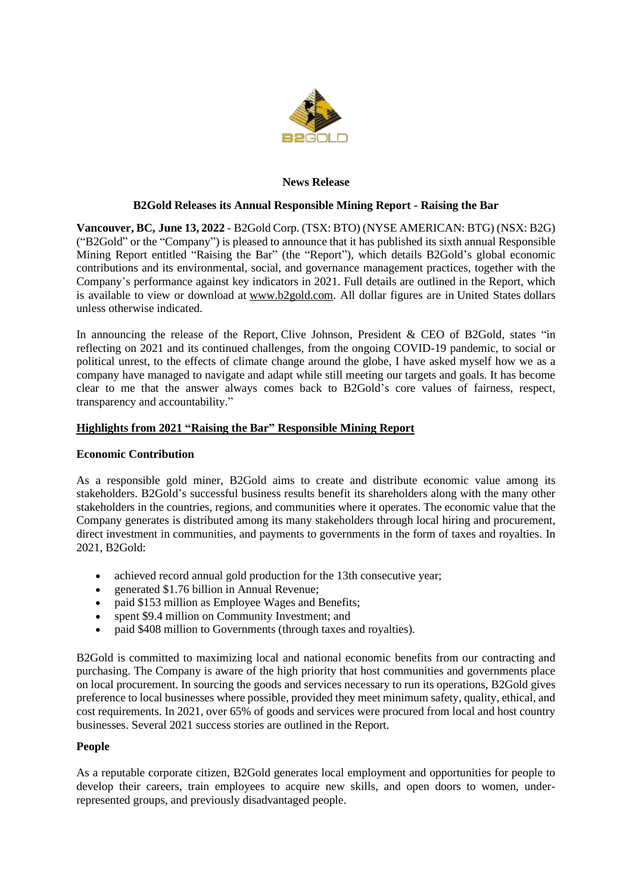

## **News Release**

## **B2Gold Releases its Annual Responsible Mining Report - Raising the Bar**

**Vancouver, BC, June 13, 2022** - B2Gold Corp. (TSX: BTO) (NYSE AMERICAN: BTG) (NSX: B2G) ("B2Gold" or the "Company") is pleased to announce that it has published its sixth annual Responsible Mining Report entitled "Raising the Bar" (the "Report"), which details B2Gold's global economic contributions and its environmental, social, and governance management practices, together with the Company's performance against key indicators in 2021. Full details are outlined in the Report, which is available to view or download at [www.b2gold.com.](https://c212.net/c/link/?t=0&l=en&o=3192236-1&h=1640283784&u=http%3A%2F%2Fwww.b2gold.com%2F&a=www.b2gold.com) All dollar figures are in United States dollars unless otherwise indicated.

In announcing the release of the Report, Clive Johnson, President & CEO of B2Gold, states "in reflecting on 2021 and its continued challenges, from the ongoing COVID-19 pandemic, to social or political unrest, to the effects of climate change around the globe, I have asked myself how we as a company have managed to navigate and adapt while still meeting our targets and goals. It has become clear to me that the answer always comes back to B2Gold's core values of fairness, respect, transparency and accountability."

## **Highlights from 2021 "Raising the Bar" Responsible Mining Report**

## **Economic Contribution**

As a responsible gold miner, B2Gold aims to create and distribute economic value among its stakeholders. B2Gold's successful business results benefit its shareholders along with the many other stakeholders in the countries, regions, and communities where it operates. The economic value that the Company generates is distributed among its many stakeholders through local hiring and procurement, direct investment in communities, and payments to governments in the form of taxes and royalties. In 2021, B2Gold:

- achieved record annual gold production for the 13th consecutive year;
- generated \$1.76 billion in Annual Revenue;
- paid \$153 million as Employee Wages and Benefits;
- spent \$9.4 million on Community Investment; and
- paid \$408 million to Governments (through taxes and royalties).

B2Gold is committed to maximizing local and national economic benefits from our contracting and purchasing. The Company is aware of the high priority that host communities and governments place on local procurement. In sourcing the goods and services necessary to run its operations, B2Gold gives preference to local businesses where possible, provided they meet minimum safety, quality, ethical, and cost requirements. In 2021, over 65% of goods and services were procured from local and host country businesses. Several 2021 success stories are outlined in the Report.

## **People**

As a reputable corporate citizen, B2Gold generates local employment and opportunities for people to develop their careers, train employees to acquire new skills, and open doors to women, underrepresented groups, and previously disadvantaged people.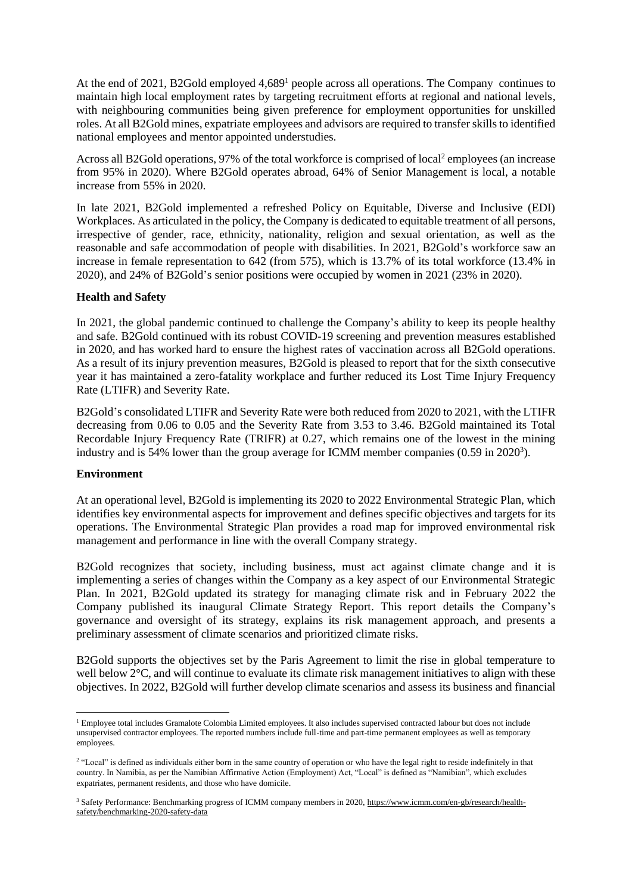At the end of 2021, B2Gold employed 4,689<sup>1</sup> people across all operations. The Company continues to maintain high local employment rates by targeting recruitment efforts at regional and national levels, with neighbouring communities being given preference for employment opportunities for unskilled roles. At all B2Gold mines, expatriate employees and advisors are required to transfer skills to identified national employees and mentor appointed understudies.

Across all B2Gold operations, 97% of the total workforce is comprised of local<sup>2</sup> employees (an increase from 95% in 2020). Where B2Gold operates abroad, 64% of Senior Management is local, a notable increase from 55% in 2020.

In late 2021, B2Gold implemented a refreshed Policy on Equitable, Diverse and Inclusive (EDI) Workplaces. As articulated in the policy, the Company is dedicated to equitable treatment of all persons, irrespective of gender, race, ethnicity, nationality, religion and sexual orientation, as well as the reasonable and safe accommodation of people with disabilities. In 2021, B2Gold's workforce saw an increase in female representation to 642 (from 575), which is 13.7% of its total workforce (13.4% in 2020), and 24% of B2Gold's senior positions were occupied by women in 2021 (23% in 2020).

## **Health and Safety**

In 2021, the global pandemic continued to challenge the Company's ability to keep its people healthy and safe. B2Gold continued with its robust COVID-19 screening and prevention measures established in 2020, and has worked hard to ensure the highest rates of vaccination across all B2Gold operations. As a result of its injury prevention measures, B2Gold is pleased to report that for the sixth consecutive year it has maintained a zero-fatality workplace and further reduced its Lost Time Injury Frequency Rate (LTIFR) and Severity Rate.

B2Gold's consolidated LTIFR and Severity Rate were both reduced from 2020 to 2021, with the LTIFR decreasing from 0.06 to 0.05 and the Severity Rate from 3.53 to 3.46. B2Gold maintained its Total Recordable Injury Frequency Rate (TRIFR) at 0.27, which remains one of the lowest in the mining industry and is 54% lower than the group average for ICMM member companies (0.59 in 2020<sup>3</sup>).

#### **Environment**

At an operational level, B2Gold is implementing its 2020 to 2022 Environmental Strategic Plan, which identifies key environmental aspects for improvement and defines specific objectives and targets for its operations. The Environmental Strategic Plan provides a road map for improved environmental risk management and performance in line with the overall Company strategy.

B2Gold recognizes that society, including business, must act against climate change and it is implementing a series of changes within the Company as a key aspect of our Environmental Strategic Plan. In 2021, B2Gold updated its strategy for managing climate risk and in February 2022 the Company published its inaugural Climate Strategy Report. This report details the Company's governance and oversight of its strategy, explains its risk management approach, and presents a preliminary assessment of climate scenarios and prioritized climate risks.

B2Gold supports the objectives set by the Paris Agreement to limit the rise in global temperature to well below 2<sup>°</sup>C, and will continue to evaluate its climate risk management initiatives to align with these objectives. In 2022, B2Gold will further develop climate scenarios and assess its business and financial

<sup>&</sup>lt;sup>1</sup> Employee total includes Gramalote Colombia Limited employees. It also includes supervised contracted labour but does not include unsupervised contractor employees. The reported numbers include full-time and part-time permanent employees as well as temporary employees.

<sup>&</sup>lt;sup>2</sup> "Local" is defined as individuals either born in the same country of operation or who have the legal right to reside indefinitely in that country. In Namibia, as per the Namibian Affirmative Action (Employment) Act, "Local" is defined as "Namibian", which excludes expatriates, permanent residents, and those who have domicile.

<sup>&</sup>lt;sup>3</sup> Safety Performance: Benchmarking progress of ICMM company members in 2020, [https://www.icmm.com/en-gb/research/health](https://www.icmm.com/en-gb/research/health-safety/benchmarking-2020-safety-data)[safety/benchmarking-2020-safety-data](https://www.icmm.com/en-gb/research/health-safety/benchmarking-2020-safety-data)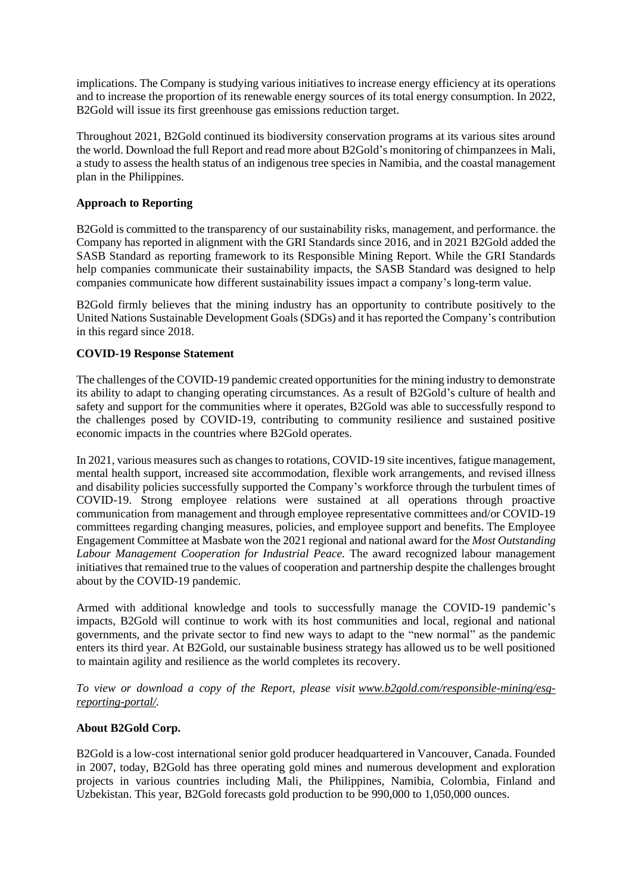implications. The Company is studying various initiatives to increase energy efficiency at its operations and to increase the proportion of its renewable energy sources of its total energy consumption. In 2022, B2Gold will issue its first greenhouse gas emissions reduction target.

Throughout 2021, B2Gold continued its biodiversity conservation programs at its various sites around the world. Download the full Report and read more about B2Gold's monitoring of chimpanzees in Mali, a study to assess the health status of an indigenous tree species in Namibia, and the coastal management plan in the Philippines.

# **Approach to Reporting**

B2Gold is committed to the transparency of our sustainability risks, management, and performance. the Company has reported in alignment with the GRI Standards since 2016, and in 2021 B2Gold added the SASB Standard as reporting framework to its Responsible Mining Report. While the GRI Standards help companies communicate their sustainability impacts, the SASB Standard was designed to help companies communicate how different sustainability issues impact a company's long-term value.

B2Gold firmly believes that the mining industry has an opportunity to contribute positively to the United Nations Sustainable Development Goals (SDGs) and it has reported the Company's contribution in this regard since 2018.

## **COVID-19 Response Statement**

The challenges of the COVID-19 pandemic created opportunities for the mining industry to demonstrate its ability to adapt to changing operating circumstances. As a result of B2Gold's culture of health and safety and support for the communities where it operates, B2Gold was able to successfully respond to the challenges posed by COVID-19, contributing to community resilience and sustained positive economic impacts in the countries where B2Gold operates.

In 2021, various measures such as changes to rotations, COVID-19 site incentives, fatigue management, mental health support, increased site accommodation, flexible work arrangements, and revised illness and disability policies successfully supported the Company's workforce through the turbulent times of COVID-19. Strong employee relations were sustained at all operations through proactive communication from management and through employee representative committees and/or COVID-19 committees regarding changing measures, policies, and employee support and benefits. The Employee Engagement Committee at Masbate won the 2021 regional and national award for the *Most Outstanding Labour Management Cooperation for Industrial Peace.* The award recognized labour management initiatives that remained true to the values of cooperation and partnership despite the challenges brought about by the COVID-19 pandemic.

Armed with additional knowledge and tools to successfully manage the COVID-19 pandemic's impacts, B2Gold will continue to work with its host communities and local, regional and national governments, and the private sector to find new ways to adapt to the "new normal" as the pandemic enters its third year. At B2Gold, our sustainable business strategy has allowed us to be well positioned to maintain agility and resilience as the world completes its recovery.

To view or download a copy of the Report, please visit **[www.b2gold.com/responsible-mining/esg](https://c212.net/c/link/?t=0&l=en&o=3192236-1&h=446118188&u=http%3A%2F%2Fwww.b2gold.com%2Fresponsible-mining%2Fesg-reporting-portal%2F&a=www.b2gold.com%2Fresponsible-mining%2Fesg-reporting-portal%2F)***[reporting-portal/.](https://c212.net/c/link/?t=0&l=en&o=3192236-1&h=446118188&u=http%3A%2F%2Fwww.b2gold.com%2Fresponsible-mining%2Fesg-reporting-portal%2F&a=www.b2gold.com%2Fresponsible-mining%2Fesg-reporting-portal%2F)*

## **About B2Gold Corp.**

B2Gold is a low-cost international senior gold producer headquartered in Vancouver, Canada. Founded in 2007, today, B2Gold has three operating gold mines and numerous development and exploration projects in various countries including Mali, the Philippines, Namibia, Colombia, Finland and Uzbekistan. This year, B2Gold forecasts gold production to be 990,000 to 1,050,000 ounces.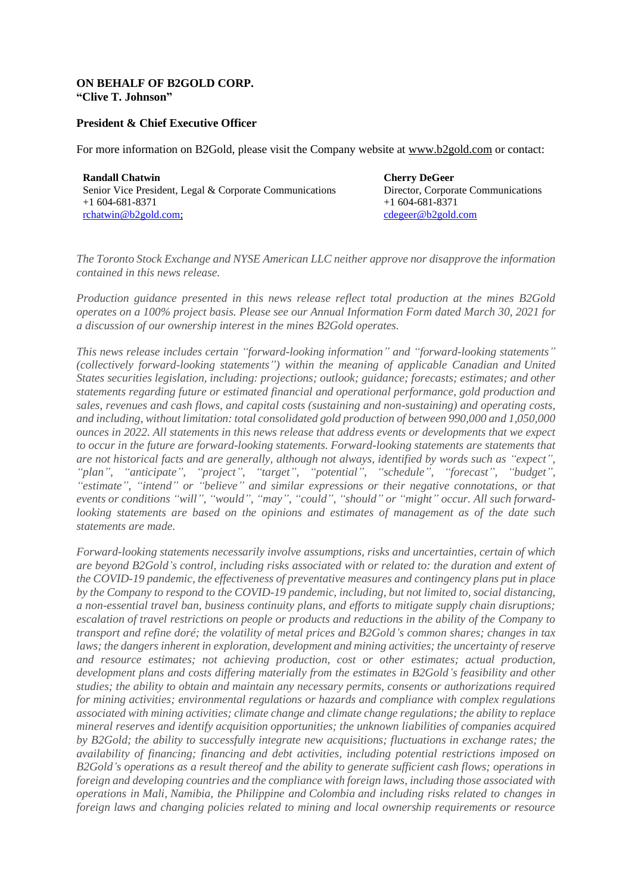## **ON BEHALF OF B2GOLD CORP. "Clive T. Johnson"**

## **President & Chief Executive Officer**

For more information on B2Gold, please visit the Company website at [www.b2gold.com](http://www.b2gold.com/) or contact:

**Randall Chatwin** Senior Vice President, Legal & Corporate Communications +1 604-681-8371 [rchatwin@b2gold.com;](mailto:rchatwin@b2gold.com)

**Cherry DeGeer** Director, Corporate Communications +1 604-681-8371 [cdegeer@b2gold.com](mailto:cdegeer@b2gold.com)

*The Toronto Stock Exchange and NYSE American LLC neither approve nor disapprove the information contained in this news release.* 

*Production guidance presented in this news release reflect total production at the mines B2Gold operates on a 100% project basis. Please see our Annual Information Form dated March 30, 2021 for a discussion of our ownership interest in the mines B2Gold operates.*

*This news release includes certain "forward-looking information" and "forward-looking statements" (collectively forward-looking statements") within the meaning of applicable Canadian and United States securities legislation, including: projections; outlook; guidance; forecasts; estimates; and other statements regarding future or estimated financial and operational performance, gold production and sales, revenues and cash flows, and capital costs (sustaining and non-sustaining) and operating costs, and including, without limitation: total consolidated gold production of between 990,000 and 1,050,000 ounces in 2022. All statements in this news release that address events or developments that we expect to occur in the future are forward-looking statements. Forward-looking statements are statements that are not historical facts and are generally, although not always, identified by words such as "expect", "plan", "anticipate", "project", "target", "potential", "schedule", "forecast", "budget", "estimate", "intend" or "believe" and similar expressions or their negative connotations, or that events or conditions "will", "would", "may", "could", "should" or "might" occur. All such forwardlooking statements are based on the opinions and estimates of management as of the date such statements are made.*

*Forward-looking statements necessarily involve assumptions, risks and uncertainties, certain of which are beyond B2Gold's control, including risks associated with or related to: the duration and extent of the COVID-19 pandemic, the effectiveness of preventative measures and contingency plans put in place by the Company to respond to the COVID-19 pandemic, including, but not limited to, social distancing, a non-essential travel ban, business continuity plans, and efforts to mitigate supply chain disruptions; escalation of travel restrictions on people or products and reductions in the ability of the Company to transport and refine doré; the volatility of metal prices and B2Gold's common shares; changes in tax laws; the dangers inherent in exploration, development and mining activities; the uncertainty of reserve and resource estimates; not achieving production, cost or other estimates; actual production, development plans and costs differing materially from the estimates in B2Gold's feasibility and other studies; the ability to obtain and maintain any necessary permits, consents or authorizations required for mining activities; environmental regulations or hazards and compliance with complex regulations associated with mining activities; climate change and climate change regulations; the ability to replace mineral reserves and identify acquisition opportunities; the unknown liabilities of companies acquired by B2Gold; the ability to successfully integrate new acquisitions; fluctuations in exchange rates; the availability of financing; financing and debt activities, including potential restrictions imposed on B2Gold's operations as a result thereof and the ability to generate sufficient cash flows; operations in foreign and developing countries and the compliance with foreign laws, including those associated with operations in Mali, Namibia, the Philippine and Colombia and including risks related to changes in foreign laws and changing policies related to mining and local ownership requirements or resource*